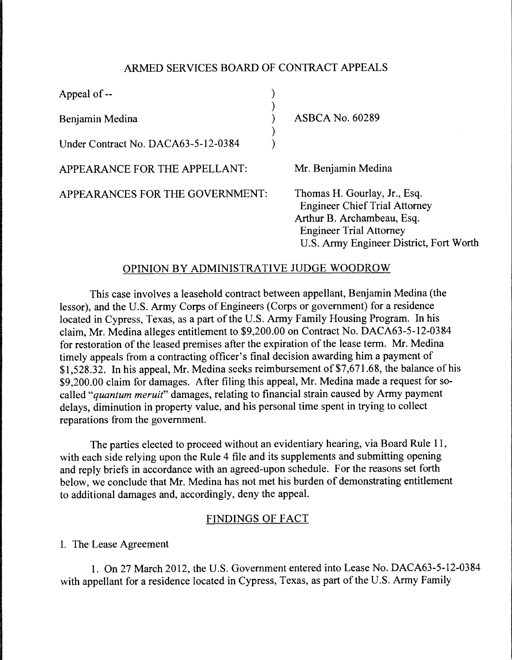# ARMED SERVICES BOARD OF CONTRACT APPEALS

| Appeal of --                        |  |                                                                                                                                                                                 |
|-------------------------------------|--|---------------------------------------------------------------------------------------------------------------------------------------------------------------------------------|
| Benjamin Medina                     |  | <b>ASBCA No. 60289</b>                                                                                                                                                          |
| Under Contract No. DACA63-5-12-0384 |  |                                                                                                                                                                                 |
| APPEARANCE FOR THE APPELLANT:       |  | Mr. Benjamin Medina                                                                                                                                                             |
| APPEARANCES FOR THE GOVERNMENT:     |  | Thomas H. Gourlay, Jr., Esq.<br><b>Engineer Chief Trial Attorney</b><br>Arthur B. Archambeau, Esq.<br><b>Engineer Trial Attorney</b><br>U.S. Army Engineer District, Fort Worth |

# OPINION BY ADMINISTRATIVE JUDGE WOODROW

This case involves a leasehold contract between appellant, Benjamin Medina (the lessor), and the U.S. Army Corps of Engineers (Corps or government) for a residence located in Cypress, Texas, as a part of the U.S. Army Family Housing Program. In his claim, Mr. Medina alleges entitlement to \$9,200.00 on Contract No. DACA63-5-12-0384 for restoration of the leased premises after the expiration of the lease term. Mr. Medina timely appeals from a contracting officer's final decision awarding him a payment of \$1,528.32. In his appeal, Mr. Medina seeks reimbursement of \$7,671.68, the balance of his \$9,200.00 claim for damages. After filing this appeal, Mr. Medina made a request for socalled *"quantum meruit"* damages, relating to financial strain caused by Army payment delays, diminution in property value, and his personal time spent in trying to collect reparations from the government.

The parties elected to proceed without an evidentiary hearing, via Board Rule 11, with each side relying upon the Rule 4 file and its supplements and submitting opening and reply briefs in accordance with an agreed-upon schedule. For the reasons set forth below, we conclude that Mr. Medina has not met his burden of demonstrating entitlement to additional damages and, accordingly, deny the appeal.

## FINDINGS OF FACT

I. The Lease Agreement

1. On 27 March 2012, the U.S. Government entered into Lease No. DACA63-5-12-0384 with appellant for a residence located in Cypress, Texas, as part of the U.S. Army Family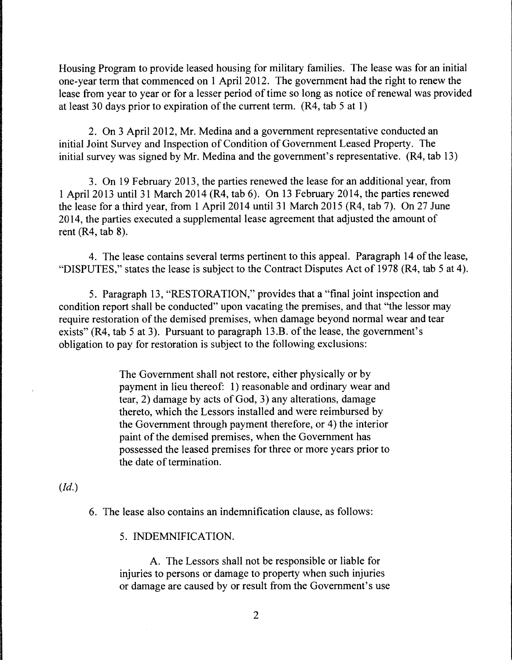Housing Program to provide leased housing for military families. The lease was for an initial one-year term that commenced on 1 April 2012. The government had the right to renew the lease from year to year or for a lesser period of time so long as notice of renewal was provided at least 30 days prior to expiration of the current term. (R4, tab 5 at 1)

2. On 3 April 2012, Mr. Medina and a government representative conducted an initial Joint Survey and Inspection of Condition of Government Leased Property. The initial survey was signed by Mr. Medina and the government's representative. (R4, tab 13)

3. On 19 February 2013, the parties renewed the lease for an additional year, from 1 April 2013 until 31 March 2014 (R4, tab 6). On 13 February 2014, the parties renewed the lease for a third year, from 1 April 2014 until 31 March 2015 (R4, tab 7). On 27 June 2014, the parties executed a supplemental lease agreement that adjusted the amount of rent (R4, tab 8).

4. The lease contains several terms pertinent to this appeal. Paragraph 14 of the lease, "DISPUTES," states the lease is subject to the Contract Disputes Act of 1978 (R4, tab 5 at 4).

5. Paragraph 13, "RESTORATION," provides that a "final joint inspection and condition report shall be conducted" upon vacating the premises, and that "the lessor may require restoration of the demised premises, when damage beyond normal wear and tear exists" (R4, tab 5 at 3). Pursuant to paragraph 13.B. of the lease, the government's obligation to pay for restoration is subject to the following exclusions:

> The Government shall not restore, either physically or by payment in lieu thereof: 1) reasonable and ordinary wear and tear, 2) damage by acts of God, 3) any alterations, damage thereto, which the Lessors installed and were reimbursed by the Government through payment therefore, or 4) the interior paint of the demised premises, when the Government has possessed the leased premises for three or more years prior to the date of termination.

# *(Id.)*

6. The lease also contains an indemnification clause, as follows:

5. INDEMNIFICATION.

A. The Lessors shall not be responsible or liable for injuries to persons or damage to property when such injuries or damage are caused by or result from the Government's use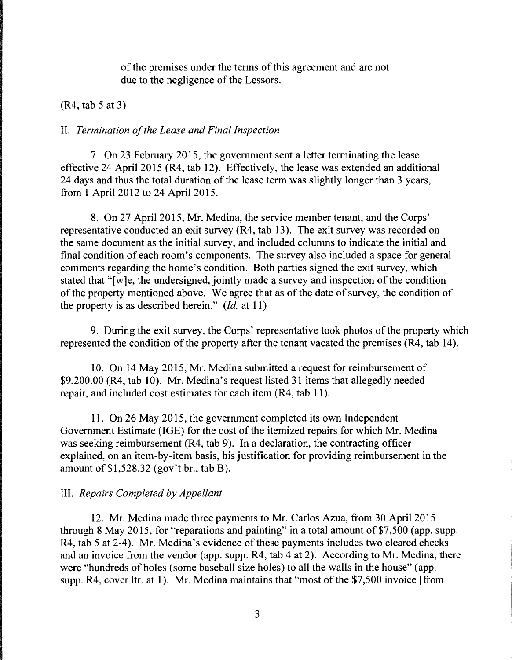of the premises under the terms of this agreement and are not due to the negligence of the Lessors.

### (R4, tab 5 at 3)

#### II. *Termination of the Lease and Final Inspection*

7. On 23 February 2015, the government sent a letter terminating the lease effective 24 April 2015 (R4, tab 12). Effectively, the lease was extended an additional 24 days and thus the total duration of the lease term was slightly longer than 3 years, from 1 April 2012 to 24 April 2015.

8. On 27 April 2015, Mr. Medina, the service member tenant, and the Corps' representative conducted an exit survey (R4, tab 13). The exit survey was recorded on the same document as the initial survey, and included columns to indicate the initial and final condition of each room's components. The survey also included a space for general comments regarding the home's condition. Both parties signed the exit survey, which stated that "[w]e, the undersigned, jointly made a survey and inspection of the condition of the property mentioned above. We agree that as of the date of survey, the condition of the property is as described herein." *(Id.* at 11)

9. During the exit survey, the Corps' representative took photos of the property which represented the condition of the property after the tenant vacated the premises (R4, tab 14).

10. On 14 May 2015, Mr. Medina submitted a request for reimbursement of \$9,200.00 (R4, tab 10). Mr. Medina's request listed 31 items that allegedly needed repair, and included cost estimates for each item (R4, tab 11).

11. On 26 May 2015, the government completed its own Independent Government Estimate (IGE) for the cost of the itemized repairs for which Mr. Medina was seeking reimbursement (R4, tab 9). In a declaration, the contracting officer explained, on an item-by-item basis, his justification for providing reimbursement in the amount of \$1,528.32 (gov't br., tab B).

### III. *Repairs Completed by Appellant*

12. Mr. Medina made three payments to Mr. Carlos Azua, from 30 April 2015 through 8 May 2015, for "reparations and painting" in a total amount of \$7,500 (app. supp. R4, tab 5 at 2-4). Mr. Medina's evidence of these payments includes two cleared checks and an invoice from the vendor (app. supp. R4, tab 4 at 2). According to Mr. Medina, there were "hundreds of holes (some baseball size holes) to all the walls in the house" (app. supp. R4, cover ltr. at 1). Mr. Medina maintains that "most of the \$7,500 invoice [from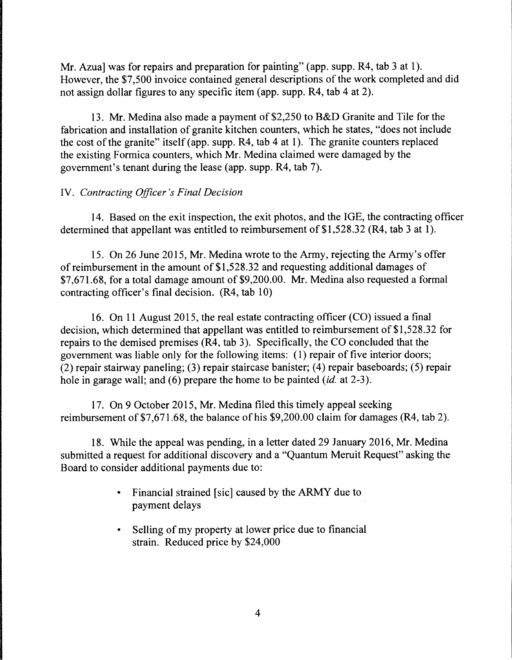Mr. Azua] was for repairs and preparation for painting" (app. supp. R4, tab 3 at 1). However, the \$7,500 invoice contained general descriptions of the work completed and did not assign dollar figures to any specific item (app. supp. R4, tab 4 at 2).

13. Mr. Medina also made a payment of \$2,250 to B&D Granite and Tile for the fabrication and installation of granite kitchen counters, which he states, "does not include the cost of the granite" itself (app. supp. R4, tab 4 at 1). The granite counters replaced the existing Formica counters, which Mr. Medina claimed were damaged by the government's tenant during the lease (app. supp. R4, tab 7).

# IV. *Contracting Officer's Final Decision*

14. Based on the exit inspection, the exit photos, and the IGE, the contracting officer determined that appellant was entitled to reimbursement of \$1,528.32 (R4, tab 3 at 1).

15. On 26 June 2015, Mr. Medina wrote to the Army, rejecting the Army's offer of reimbursement in the amount of \$1,528.32 and requesting additional damages of \$7,671.68, for a total damage amount of \$9,200.00. Mr. Medina also requested a formal contracting officer's final decision. (R4, tab 10)

16. On 11 August 2015, the real estate contracting officer (CO) issued a final decision, which determined that appellant was entitled to reimbursement of \$1,528.32 for repairs to the demised premises (R4, tab 3). Specifically, the CO concluded that the government was liable only for the following items: ( 1) repair of five interior doors; (2) repair stairway paneling; (3) repair staircase banister; (4) repair baseboards; (5) repair hole in garage wall; and (6) prepare the home to be painted *(id.* at 2-3).

17. On 9 October 2015, Mr. Medina filed this timely appeal seeking reimbursement of \$7,671.68, the balance of his \$9,200.00 claim for damages (R4, tab 2).

18. While the appeal was pending, in a letter dated 29 January 2016, Mr. Medina submitted a request for additional discovery and a "Quantum Meruit Request" asking the Board to consider additional payments due to:

- Financial strained [sic] caused by the ARMY due to payment delays
- Selling of my property at lower price due to financial strain. Reduced price by \$24,000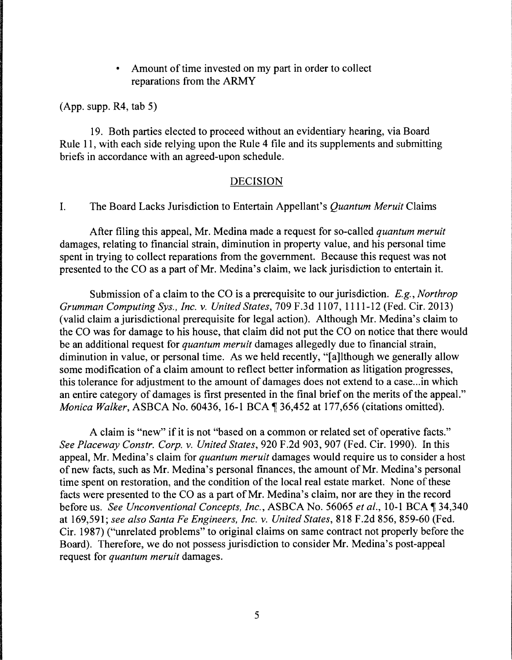Amount of time invested on my part in order to collect reparations from the ARMY

(App. supp. R4, tab 5)

19. Both parties elected to proceed without an evidentiary hearing, via Board Rule 11, with each side relying upon the Rule 4 file and its supplements and submitting briefs in accordance with an agreed-upon schedule.

### DECISION

### I. The Board Lacks Jurisdiction to Entertain Appellant's *Quantum Meruit* Claims

After filing this appeal, Mr. Medina made a request for so-called *quantum meruit*  damages, relating to financial strain, diminution in property value, and his personal time spent in trying to collect reparations from the government. Because this request was not presented to the CO as a part of Mr. Medina's claim, we lack jurisdiction to entertain it.

Submission of a claim to the CO is a prerequisite to our jurisdiction. E.g., *Northrop Grumman Computing Sys., Inc. v. United States,* 709 F.3d 1107, 1111-12 (Fed. Cir. 2013) (valid claim a jurisdictional prerequisite for legal action). Although Mr. Medina's claim to the CO was for damage to his house, that claim did not put the CO on notice that there would be an additional request for *quantum meruit* damages allegedly due to financial strain, diminution in value, or personal time. As we held recently, "[a]lthough we generally allow some modification of a claim amount to reflect better information as litigation progresses, this tolerance for adjustment to the amount of damages does not extend to a case...in which an entire category of damages is first presented in the final brief on the merits of the appeal." *Monica Walker, ASBCA No.* 60436, 16-1 BCA ¶ 36,452 at 177,656 (citations omitted).

A claim is "new" if it is not "based on a common or related set of operative facts." *See Placeway Constr. Corp. v. United States,* 920 F.2d 903, 907 (Fed. Cir. 1990). In this appeal, Mr. Medina's claim for *quantum meruit* damages would require us to consider a host of new facts, such as Mr. Medina's personal finances, the amount of Mr. Medina's personal time spent on restoration, and the condition of the local real estate market. None of these facts were presented to the CO as a part of Mr. Medina's claim, nor are they in the record before us. *See Unconventional Concepts, Inc., ASBCA No.* 56065 *et al., 10-1 BCA*  $\P$  34,340 at 169,591; *see also Santa Fe Engineers, Inc. v. United States,* 818 F.2d 856, 859-60 (Fed. Cir. 1987) ("unrelated problems" to original claims on same contract not properly before the Board). Therefore, we do not possess jurisdiction to consider Mr. Medina's post-appeal request for *quantum meruit* damages.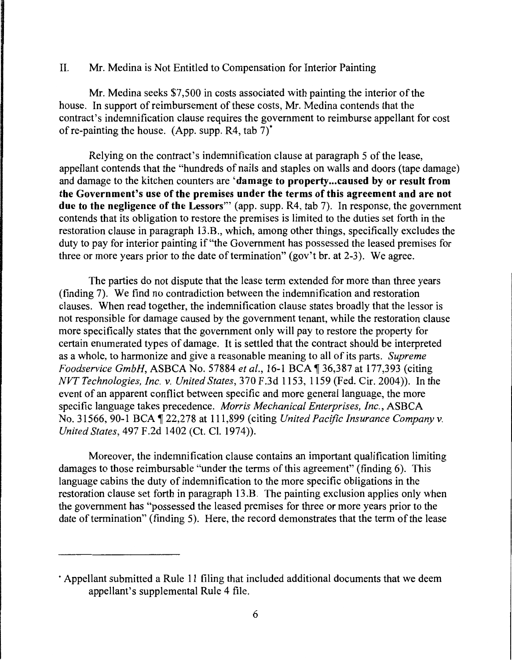## II. Mr. Medina is Not Entitled to Compensation for Interior Painting

Mr. Medina seeks \$7,500 in costs associated with painting the interior of the house. In support of reimbursement of these costs, Mr. Medina contends that the contract's indemnification clause requires the government to reimburse appellant for cost of re-painting the house. (App. supp.  $R4$ , tab  $7$ )<sup>\*</sup>

Relying on the contract's indemnification clause at paragraph 5 of the lease, appellant contends that the "hundreds of nails and staples on walls and doors (tape damage) and damage to the kitchen counters are 'damage to property ... caused by or result from the Government's use of the premises under the terms of this agreement and are not due to the negligence of the Lessors"' (app. supp. R4, tab 7). In response, the government contends that its obligation to restore the premises is limited to the duties set forth in the restoration clause in paragraph 13.B., which, among other things, specifically excludes the duty to pay for interior painting if "the Government has possessed the leased premises for three or more years prior to the date of termination" (gov't br. at 2-3). We agree.

The parties do not dispute that the lease term extended for more than three years (finding 7). We find no contradiction between the indemnification and restoration clauses. When read together, the indemnification clause states broadly that the lessor is not responsible for damage caused by the government tenant, while the restoration clause more specifically states that the government only will pay to restore the property for certain enumerated types of damage. It is settled that the contract should be interpreted as a whole, to harmonize and give a reasonable meaning to all of its parts. *Supreme Foodservice GmbH, ASBCA No. 57884 et al., 16-1 BCA* ¶ 36,387 at 177,393 (citing *NVT Technologies, Inc. v. United States,* 370 F.3d 1153, 1159 (Fed. Cir. 2004)). In the event of an apparent conflict between specific and more general language, the more specific language takes precedence. *Morris Mechanical Enterprises, Inc.,* ASBCA No. 31566, 90-1 BCA  $\sqrt{22,278}$  at 111,899 (citing *United Pacific Insurance Company v. United States,* 497 F.2d 1402 (Ct. Cl. 1974)).

Moreover, the indemnification clause contains an important qualification limiting damages to those reimbursable "under the terms of this agreement" (finding 6). This language cabins the duty of indemnification to the more specific obligations in the restoration clause set forth in paragraph 13.B. The painting exclusion applies only when the government has "possessed the leased premises for three or more years prior to the date of termination" (finding 5). Here, the record demonstrates that the term of the lease

<sup>•</sup> Appellant submitted a Rule 11 filing that included additional documents that we deem appellant's supplemental Rule 4 file.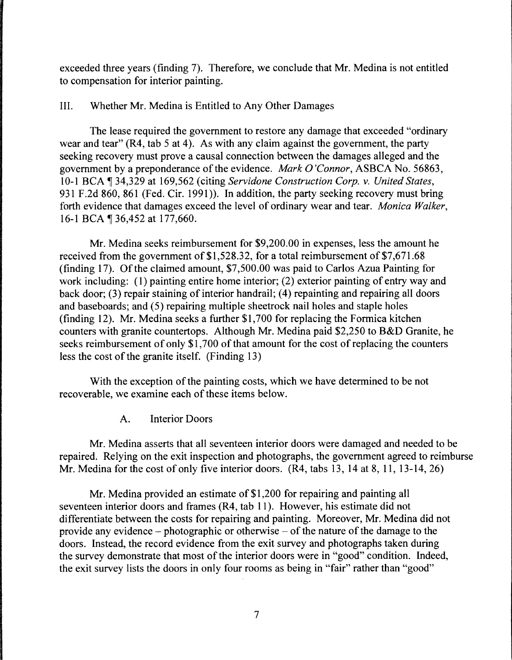exceeded three years (finding 7). Therefore, we conclude that Mr. Medina is not entitled to compensation for interior painting.

### III. Whether Mr. Medina is Entitled to Any Other Damages

The lease required the government to restore any damage that exceeded "ordinary wear and tear"  $(R4, tab 5 at 4)$ . As with any claim against the government, the party seeking recovery must prove a causal connection between the damages alleged and the government by a preponderance of the evidence. *Mark O'Connor,* ASBCA No. 56863, 10-1 BCA ¶ 34,329 at 169,562 (citing *Servidone Construction Corp. v. United States,* 931 F.2d 860, 861 (Fed. Cir. 1991)). In addition, the party seeking recovery must bring forth evidence that damages exceed the level of ordinary wear and tear. *Monica Walker,*  16-1 BCA ¶ 36,452 at 177,660.

Mr. Medina seeks reimbursement for \$9,200.00 in expenses, less the amount he received from the government of \$1,528.32, for a total reimbursement of \$7,671.68 (finding 17). Of the claimed amount, \$7,500.00 was paid to Carlos Azua Painting for work including: (1) painting entire home interior; (2) exterior painting of entry way and back door; (3) repair staining of interior handrail; (4) repainting and repairing all doors and baseboards; and (5) repairing multiple sheetrock nail holes and staple holes (finding 12). Mr. Medina seeks a further \$1,700 for replacing the Formica kitchen counters with granite countertops. Although Mr. Medina paid \$2,250 to B&D Granite, he seeks reimbursement of only \$1,700 of that amount for the cost of replacing the counters less the cost of the granite itself. (Finding 13)

With the exception of the painting costs, which we have determined to be not recoverable, we examine each of these items below.

A. Interior Doors

Mr. Medina asserts that all seventeen interior doors were damaged and needed to be repaired. Relying on the exit inspection and photographs, the government agreed to reimburse Mr. Medina for the cost of only five interior doors. (R4, tabs 13, 14 at 8, 11, 13-14, 26)

Mr. Medina provided an estimate of \$1,200 for repairing and painting all seventeen interior doors and frames (R4, tab 11 ). However, his estimate did not differentiate between the costs for repairing and painting. Moreover, Mr. Medina did not provide any evidence - photographic or otherwise - of the nature of the damage to the doors. Instead, the record evidence from the exit survey and photographs taken during the survey demonstrate that most of the interior doors were in "good" condition. Indeed, the exit survey lists the doors in only four rooms as being in "fair" rather than "good"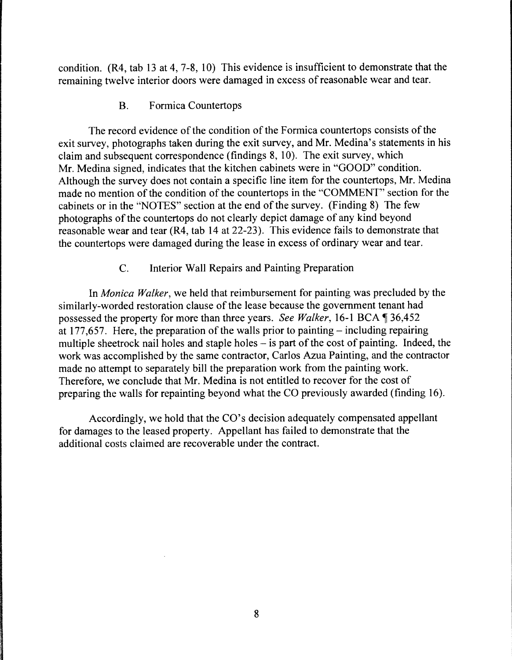condition. (R4, tab 13 at 4, 7-8, 10) This evidence is insufficient to demonstrate that the remaining twelve interior doors were damaged in excess of reasonable wear and tear.

B. Formica Countertops

The record evidence of the condition of the Formica countertops consists of the exit survey, photographs taken during the exit survey, and Mr. Medina's statements in his claim and subsequent correspondence (findings 8, 10). The exit survey, which Mr. Medina signed, indicates that the kitchen cabinets were in "GOOD" condition. Although the survey does not contain a specific line item for the countertops, Mr. Medina made no mention of the condition of the countertops in the "COMMENT" section for the cabinets or in the "NOTES" section at the end of the survey. (Finding 8) The few photographs of the countertops do not clearly depict damage of any kind beyond reasonable wear and tear (R4, tab 14 at 22-23). This evidence fails to demonstrate that the countertops were damaged during the lease in excess of ordinary wear and tear.

## C. Interior Wall Repairs and Painting Preparation

In *Monica Walker,* we held that reimbursement for painting was precluded by the similarly-worded restoration clause of the lease because the government tenant had possessed the property for more than three years. *See Walker*, 16-1 BCA  $\P$  36,452 at 177,657. Here, the preparation of the walls prior to painting  $-$  including repairing multiple sheetrock nail holes and staple holes – is part of the cost of painting. Indeed, the work was accomplished by the same contractor, Carlos Azua Painting, and the contractor made no attempt to separately bill the preparation work from the painting work. Therefore, we conclude that Mr. Medina is not entitled to recover for the cost of preparing the walls for repainting beyond what the CO previously awarded (finding 16).

Accordingly, we hold that the CO's decision adequately compensated appellant for damages to the leased property. Appellant has failed to demonstrate that the additional costs claimed are recoverable under the contract.